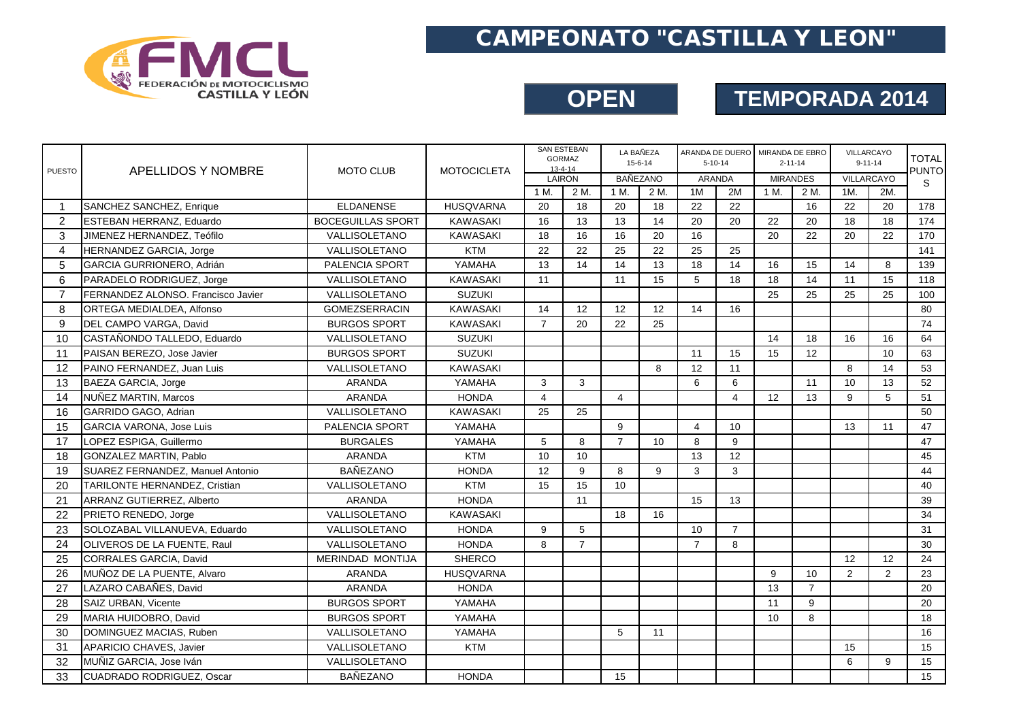

### CAMPEONATO "CASTILLA Y LEON"

#### **OPEN TEMPORADA 2014**

| <b>PUESTO</b>  | APELLIDOS Y NOMBRE                 | <b>MOTO CLUB</b>         | <b>MOTOCICLETA</b> | $13 - 4 - 14$  | <b>SAN ESTEBAN</b><br><b>GORMAZ</b> | LA BAÑEZA<br>$15 - 6 - 14$ |                 | $5 - 10 - 14$  |                | ARANDA DE DUERO MIRANDA DE EBRO<br>$2 - 11 - 14$ |                | VILLARCAYO<br>$9 - 11 - 14$ |     | <b>TOTAL</b><br><b>PUNTO</b> |
|----------------|------------------------------------|--------------------------|--------------------|----------------|-------------------------------------|----------------------------|-----------------|----------------|----------------|--------------------------------------------------|----------------|-----------------------------|-----|------------------------------|
|                |                                    |                          |                    | LAIRON         |                                     | <b>BAÑEZANO</b>            |                 |                | <b>ARANDA</b>  | <b>MIRANDES</b>                                  |                | VILLARCAYO                  |     | S                            |
|                |                                    |                          |                    | 1 M.           | 2 M.                                | 1 M.                       | 2 M.            | 1M             | 2M             | 1 M.                                             | 2 M.           | 1M.                         | 2M. |                              |
| $\overline{1}$ | SANCHEZ SANCHEZ, Enrique           | <b>ELDANENSE</b>         | <b>HUSQVARNA</b>   | 20             | 18                                  | 20                         | 18              | 22             | 22             |                                                  | 16             | 22                          | 20  | 178                          |
| $\overline{2}$ | ESTEBAN HERRANZ, Eduardo           | <b>BOCEGUILLAS SPORT</b> | <b>KAWASAKI</b>    | 16             | 13                                  | 13                         | 14              | 20             | 20             | 22                                               | 20             | 18                          | 18  | 174                          |
| 3              | JIMENEZ HERNANDEZ, Teófilo         | VALLISOLETANO            | <b>KAWASAKI</b>    | 18             | 16                                  | 16                         | 20              | 16             |                | 20                                               | 22             | 20                          | 22  | 170                          |
| 4              | HERNANDEZ GARCIA, Jorge            | VALLISOLETANO            | <b>KTM</b>         | 22             | 22                                  | 25                         | 22              | 25             | 25             |                                                  |                |                             |     | 141                          |
| 5              | GARCIA GURRIONERO, Adrián          | PALENCIA SPORT           | YAMAHA             | 13             | 14                                  | 14                         | 13              | 18             | 14             | 16                                               | 15             | 14                          | 8   | 139                          |
| 6              | PARADELO RODRIGUEZ, Jorge          | VALLISOLETANO            | <b>KAWASAKI</b>    | 11             |                                     | 11                         | 15              | 5              | 18             | 18                                               | 14             | 11                          | 15  | 118                          |
| $\overline{7}$ | FERNANDEZ ALONSO. Francisco Javier | VALLISOLETANO            | <b>SUZUKI</b>      |                |                                     |                            |                 |                |                | 25                                               | 25             | 25                          | 25  | 100                          |
| 8              | ORTEGA MEDIALDEA, Alfonso          | <b>GOMEZSERRACIN</b>     | <b>KAWASAKI</b>    | 14             | 12                                  | 12                         | 12              | 14             | 16             |                                                  |                |                             |     | 80                           |
| 9              | DEL CAMPO VARGA, David             | <b>BURGOS SPORT</b>      | <b>KAWASAKI</b>    | $\overline{7}$ | 20                                  | 22                         | 25              |                |                |                                                  |                |                             |     | 74                           |
| 10             | CASTAÑONDO TALLEDO. Eduardo        | VALLISOLETANO            | <b>SUZUKI</b>      |                |                                     |                            |                 |                |                | 14                                               | 18             | 16                          | 16  | 64                           |
| 11             | PAISAN BEREZO, Jose Javier         | <b>BURGOS SPORT</b>      | <b>SUZUKI</b>      |                |                                     |                            |                 | 11             | 15             | 15                                               | 12             |                             | 10  | 63                           |
| 12             | PAINO FERNANDEZ. Juan Luis         | VALLISOLETANO            | <b>KAWASAKI</b>    |                |                                     |                            | 8               | 12             | 11             |                                                  |                | $\mathsf{R}$                | 14  | 53                           |
| 13             | BAEZA GARCIA, Jorge                | <b>ARANDA</b>            | YAMAHA             | 3              | 3                                   |                            |                 | 6              | 6              |                                                  | 11             | 10                          | 13  | 52                           |
| 14             | NUÑEZ MARTIN, Marcos               | <b>ARANDA</b>            | <b>HONDA</b>       | $\overline{4}$ |                                     | $\overline{4}$             |                 |                | $\overline{4}$ | 12                                               | 13             | 9                           | 5   | 51                           |
| 16             | GARRIDO GAGO, Adrian               | VALLISOLETANO            | <b>KAWASAKI</b>    | 25             | 25                                  |                            |                 |                |                |                                                  |                |                             |     | 50                           |
| 15             | <b>GARCIA VARONA, Jose Luis</b>    | PALENCIA SPORT           | YAMAHA             |                |                                     | 9                          |                 | $\overline{4}$ | 10             |                                                  |                | 13                          | 11  | 47                           |
| 17             | LOPEZ ESPIGA, Guillermo            | <b>BURGALES</b>          | YAMAHA             | 5              | 8                                   | $\overline{7}$             | 10 <sup>1</sup> | 8              | 9              |                                                  |                |                             |     | 47                           |
| 18             | GONZALEZ MARTIN, Pablo             | <b>ARANDA</b>            | <b>KTM</b>         | 10             | 10                                  |                            |                 | 13             | 12             |                                                  |                |                             |     | 45                           |
| 19             | SUAREZ FERNANDEZ, Manuel Antonio   | <b>BAÑEZANO</b>          | <b>HONDA</b>       | 12             | 9                                   | 8                          | 9               | 3              | 3              |                                                  |                |                             |     | 44                           |
| 20             | TARILONTE HERNANDEZ, Cristian      | VALLISOLETANO            | <b>KTM</b>         | 15             | 15                                  | 10                         |                 |                |                |                                                  |                |                             |     | 40                           |
| 21             | ARRANZ GUTIERREZ, Alberto          | <b>ARANDA</b>            | <b>HONDA</b>       |                | 11                                  |                            |                 | 15             | 13             |                                                  |                |                             |     | 39                           |
| 22             | PRIETO RENEDO, Jorge               | VALLISOLETANO            | <b>KAWASAKI</b>    |                |                                     | 18                         | 16              |                |                |                                                  |                |                             |     | 34                           |
| 23             | SOLOZABAL VILLANUEVA, Eduardo      | VALLISOLETANO            | <b>HONDA</b>       | 9              | 5                                   |                            |                 | 10             | $\overline{7}$ |                                                  |                |                             |     | 31                           |
| 24             | OLIVEROS DE LA FUENTE, Raul        | VALLISOLETANO            | <b>HONDA</b>       | 8              | $\overline{7}$                      |                            |                 | $\overline{7}$ | 8              |                                                  |                |                             |     | 30                           |
| 25             | <b>CORRALES GARCIA, David</b>      | <b>MERINDAD MONTIJA</b>  | <b>SHERCO</b>      |                |                                     |                            |                 |                |                |                                                  |                | 12                          | 12  | 24                           |
| 26             | MUÑOZ DE LA PUENTE. Alvaro         | <b>ARANDA</b>            | <b>HUSQVARNA</b>   |                |                                     |                            |                 |                |                | 9                                                | 10             | 2                           | 2   | 23                           |
| 27             | LAZARO CABAÑES, David              | <b>ARANDA</b>            | <b>HONDA</b>       |                |                                     |                            |                 |                |                | 13                                               | $\overline{7}$ |                             |     | 20                           |
| 28             | SAIZ URBAN, Vicente                | <b>BURGOS SPORT</b>      | YAMAHA             |                |                                     |                            |                 |                |                | 11                                               | 9              |                             |     | 20                           |
| 29             | MARIA HUIDOBRO, David              | <b>BURGOS SPORT</b>      | YAMAHA             |                |                                     |                            |                 |                |                | 10                                               | 8              |                             |     | 18                           |
| 30             | DOMINGUEZ MACIAS, Ruben            | VALLISOLETANO            | YAMAHA             |                |                                     | 5                          | 11              |                |                |                                                  |                |                             |     | 16                           |
| 31             | APARICIO CHAVES, Javier            | VALLISOLETANO            | <b>KTM</b>         |                |                                     |                            |                 |                |                |                                                  |                | 15                          |     | 15                           |
| 32             | MUÑIZ GARCIA, Jose Iván            | <b>VALLISOLETANO</b>     |                    |                |                                     |                            |                 |                |                |                                                  |                | 6                           | 9   | 15                           |
| 33             | <b>CUADRADO RODRIGUEZ, Oscar</b>   | <b>BAÑEZANO</b>          | <b>HONDA</b>       |                |                                     | 15                         |                 |                |                |                                                  |                |                             |     | 15                           |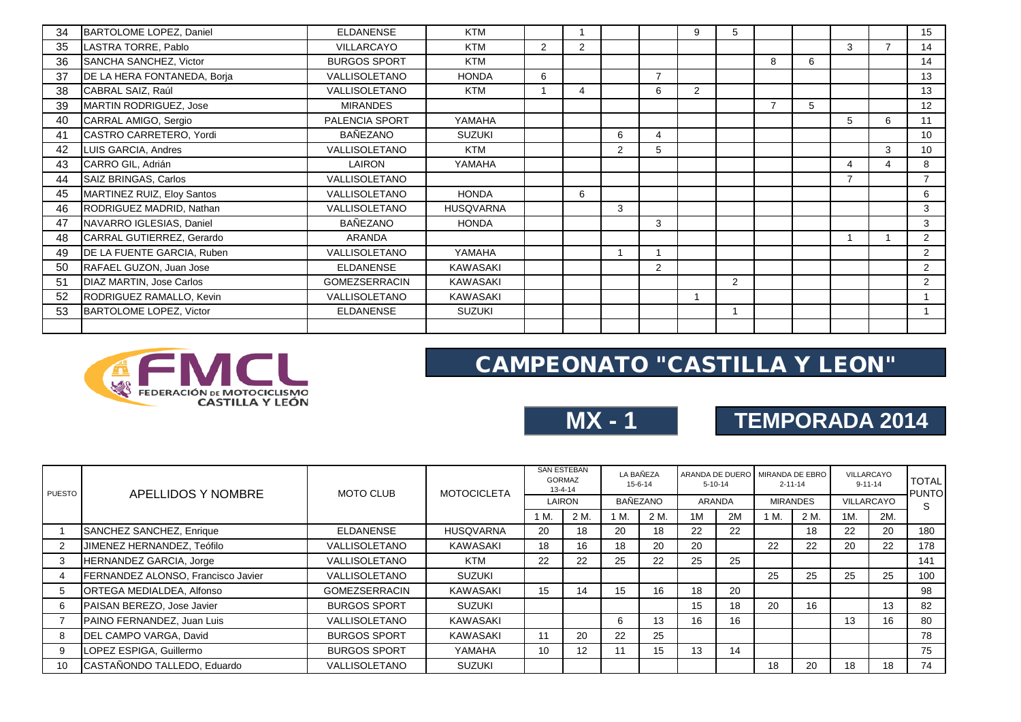| 34 | BARTOLOME LOPEZ, Daniel     | <b>ELDANENSE</b>     | <b>KTM</b>       |                |   |                |                | 9 | 5 |                |   |                          |                | 15              |
|----|-----------------------------|----------------------|------------------|----------------|---|----------------|----------------|---|---|----------------|---|--------------------------|----------------|-----------------|
| 35 | LASTRA TORRE, Pablo         | <b>VILLARCAYO</b>    | <b>KTM</b>       | $\overline{2}$ | 2 |                |                |   |   |                |   | 3                        | $\overline{ }$ | 14              |
| 36 | SANCHA SANCHEZ, Victor      | <b>BURGOS SPORT</b>  | <b>KTM</b>       |                |   |                |                |   |   | 8              | 6 |                          |                | 14              |
| 37 | DE LA HERA FONTANEDA, Borja | <b>VALLISOLETANO</b> | <b>HONDA</b>     | 6              |   |                | $\overline{7}$ |   |   |                |   |                          |                | 13              |
| 38 | CABRAL SAIZ, Raúl           | <b>VALLISOLETANO</b> | <b>KTM</b>       |                | 4 |                | 6              | 2 |   |                |   |                          |                | 13              |
| 39 | MARTIN RODRIGUEZ, Jose      | <b>MIRANDES</b>      |                  |                |   |                |                |   |   | $\overline{7}$ | 5 |                          |                | 12              |
| 40 | CARRAL AMIGO, Sergio        | PALENCIA SPORT       | YAMAHA           |                |   |                |                |   |   |                |   | 5                        | 6              | 11              |
| 41 | CASTRO CARRETERO, Yordi     | <b>BAÑEZANO</b>      | <b>SUZUKI</b>    |                |   | 6              | 4              |   |   |                |   |                          |                | 10              |
| 42 | LUIS GARCIA, Andres         | VALLISOLETANO        | <b>KTM</b>       |                |   | $\overline{2}$ | 5              |   |   |                |   |                          | 3              | 10 <sup>°</sup> |
| 43 | CARRO GIL, Adrián           | LAIRON               | YAMAHA           |                |   |                |                |   |   |                |   | 4                        | 4              | 8               |
| 44 | SAIZ BRINGAS, Carlos        | VALLISOLETANO        |                  |                |   |                |                |   |   |                |   | $\overline{\phantom{a}}$ |                | $\overline{7}$  |
| 45 | MARTINEZ RUIZ, Eloy Santos  | VALLISOLETANO        | <b>HONDA</b>     |                | 6 |                |                |   |   |                |   |                          |                | 6               |
| 46 | RODRIGUEZ MADRID, Nathan    | VALLISOLETANO        | <b>HUSQVARNA</b> |                |   | 3              |                |   |   |                |   |                          |                | 3               |
| 47 | NAVARRO IGLESIAS, Daniel    | <b>BAÑEZANO</b>      | <b>HONDA</b>     |                |   |                | 3              |   |   |                |   |                          |                | 3               |
| 48 | CARRAL GUTIERREZ, Gerardo   | <b>ARANDA</b>        |                  |                |   |                |                |   |   |                |   |                          |                | $\overline{2}$  |
| 49 | DE LA FUENTE GARCIA, Ruben  | VALLISOLETANO        | YAMAHA           |                |   |                |                |   |   |                |   |                          |                | 2               |
| 50 | RAFAEL GUZON, Juan Jose     | <b>ELDANENSE</b>     | <b>KAWASAKI</b>  |                |   |                | $\overline{2}$ |   |   |                |   |                          |                | 2               |
| 51 | DIAZ MARTIN, Jose Carlos    | <b>GOMEZSERRACIN</b> | <b>KAWASAKI</b>  |                |   |                |                |   | 2 |                |   |                          |                | $\overline{2}$  |
| 52 | RODRIGUEZ RAMALLO, Kevin    | <b>VALLISOLETANO</b> | <b>KAWASAKI</b>  |                |   |                |                |   |   |                |   |                          |                |                 |
| 53 | BARTOLOME LOPEZ, Victor     | <b>ELDANENSE</b>     | <b>SUZUKI</b>    |                |   |                |                |   |   |                |   |                          |                |                 |
|    |                             |                      |                  |                |   |                |                |   |   |                |   |                          |                |                 |



# CAMPEONATO "CASTILLA Y LEON"

|--|

# **TEMPORADA 2014**

| <b>PUESTO</b> | APELLIDOS Y NOMBRE                 | <b>MOTO CLUB</b>     | <b>MOTOCICLETA</b> | <b>SAN ESTEBAN</b><br><b>GORMAZ</b><br>$13 - 4 - 14$ |      | LA BAÑEZA<br>15-6-14 |      | $5 - 10 - 14$ |    | ARANDA DE DUERO MIRANDA DE EBRO<br>$2 - 11 - 14$ |                 | VILLARCAYO<br>$9 - 11 - 14$ |            | <b>TOTAL</b><br><b>PUNTO</b> |
|---------------|------------------------------------|----------------------|--------------------|------------------------------------------------------|------|----------------------|------|---------------|----|--------------------------------------------------|-----------------|-----------------------------|------------|------------------------------|
|               |                                    |                      |                    | LAIRON                                               |      | BAÑEZANO             |      | ARANDA        |    |                                                  | <b>MIRANDES</b> |                             | VILLARCAYO |                              |
|               |                                    |                      |                    | M.                                                   | 2 M. | 1 M.                 | 2 M. | 1M            | 2M | 1 M.                                             | 2 M.            | 1M.                         | 2M.        | S                            |
|               | SANCHEZ SANCHEZ, Enrique           | <b>ELDANENSE</b>     | <b>HUSQVARNA</b>   | 20                                                   | 18   | 20                   | 18   | 22            | 22 |                                                  | 18              | 22                          | 20         | 180                          |
| 2             | JIMENEZ HERNANDEZ, Teófilo         | VALLISOLETANO        | <b>KAWASAKI</b>    | 18                                                   | 16   | 18                   | 20   | 20            |    | 22                                               | 22              | 20                          | 22         | 178                          |
| 3             | HERNANDEZ GARCIA, Jorge            | VALLISOLETANO        | <b>KTM</b>         | 22                                                   | 22   | 25                   | 22   | 25            | 25 |                                                  |                 |                             |            | 141                          |
|               | FERNANDEZ ALONSO, Francisco Javier | VALLISOLETANO        | SUZUKI             |                                                      |      |                      |      |               |    | 25                                               | 25              | 25                          | 25         | 100                          |
| 5             | ORTEGA MEDIALDEA, Alfonso          | <b>GOMEZSERRACIN</b> | KAWASAKI           | 15                                                   | 14   | 15                   | 16   | 18            | 20 |                                                  |                 |                             |            | 98                           |
| 6             | PAISAN BEREZO, Jose Javier         | <b>BURGOS SPORT</b>  | SUZUKI             |                                                      |      |                      |      | 15            | 18 | 20                                               | 16              |                             | 13         | 82                           |
|               | PAINO FERNANDEZ, Juan Luis         | VALLISOLETANO        | KAWASAKI           |                                                      |      | 6                    | 13   | 16            | 16 |                                                  |                 | 13                          | 16         | 80                           |
| 8             | DEL CAMPO VARGA, David             | <b>BURGOS SPORT</b>  | <b>KAWASAKI</b>    | 11                                                   | 20   | 22                   | 25   |               |    |                                                  |                 |                             |            | 78                           |
| 9             | LOPEZ ESPIGA, Guillermo            | <b>BURGOS SPORT</b>  | YAMAHA             | 10                                                   | 12   |                      | 15   | 13            | 14 |                                                  |                 |                             |            | 75                           |
| 10            | CASTAÑONDO TALLEDO. Eduardo        | VALLISOLETANO        | <b>SUZUKI</b>      |                                                      |      |                      |      |               |    | 18                                               | 20              | 18                          | 18         | 74                           |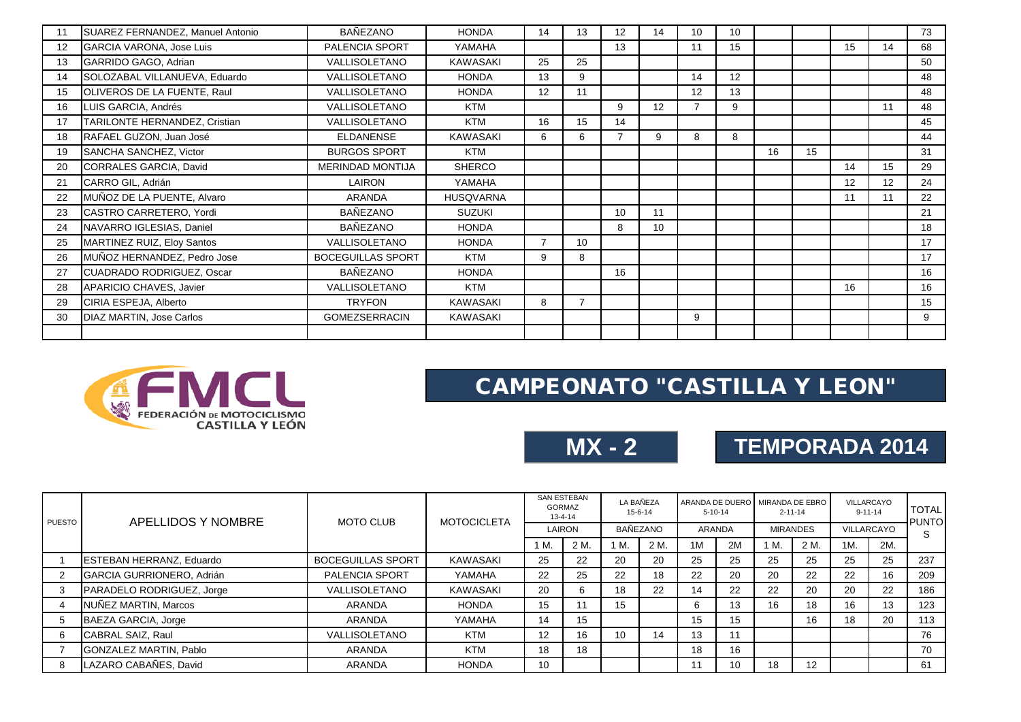| 11 | SUAREZ FERNANDEZ, Manuel Antonio | <b>BAÑEZANO</b>          | <b>HONDA</b>     | 14 | 13 | 12 | 14 | 10             | 10 |    |    |    |    | 73 |
|----|----------------------------------|--------------------------|------------------|----|----|----|----|----------------|----|----|----|----|----|----|
| 12 | <b>GARCIA VARONA, Jose Luis</b>  | PALENCIA SPORT           | YAMAHA           |    |    | 13 |    | 11             | 15 |    |    | 15 | 14 | 68 |
| 13 | GARRIDO GAGO, Adrian             | VALLISOLETANO            | <b>KAWASAKI</b>  | 25 | 25 |    |    |                |    |    |    |    |    | 50 |
| 14 | SOLOZABAL VILLANUEVA, Eduardo    | VALLISOLETANO            | <b>HONDA</b>     | 13 | 9  |    |    | 14             | 12 |    |    |    |    | 48 |
| 15 | OLIVEROS DE LA FUENTE, Raul      | VALLISOLETANO            | <b>HONDA</b>     | 12 | 11 |    |    | 12             | 13 |    |    |    |    | 48 |
| 16 | LUIS GARCIA, Andrés              | VALLISOLETANO            | <b>KTM</b>       |    |    | 9  | 12 | $\overline{7}$ | 9  |    |    |    | 11 | 48 |
| 17 | TARILONTE HERNANDEZ, Cristian    | VALLISOLETANO            | <b>KTM</b>       | 16 | 15 | 14 |    |                |    |    |    |    |    | 45 |
| 18 | RAFAEL GUZON, Juan José          | <b>ELDANENSE</b>         | <b>KAWASAKI</b>  | 6  | 6  |    | 9  | 8              | 8  |    |    |    |    | 44 |
| 19 | SANCHA SANCHEZ, Victor           | <b>BURGOS SPORT</b>      | <b>KTM</b>       |    |    |    |    |                |    | 16 | 15 |    |    | 31 |
| 20 | CORRALES GARCIA, David           | <b>MERINDAD MONTIJA</b>  | <b>SHERCO</b>    |    |    |    |    |                |    |    |    | 14 | 15 | 29 |
| 21 | CARRO GIL, Adrián                | LAIRON                   | YAMAHA           |    |    |    |    |                |    |    |    | 12 | 12 | 24 |
| 22 | MUÑOZ DE LA PUENTE, Alvaro       | <b>ARANDA</b>            | <b>HUSQVARNA</b> |    |    |    |    |                |    |    |    | 11 | 11 | 22 |
| 23 | CASTRO CARRETERO, Yordi          | BAÑEZANO                 | <b>SUZUKI</b>    |    |    | 10 | 11 |                |    |    |    |    |    | 21 |
| 24 | NAVARRO IGLESIAS, Daniel         | <b>BAÑEZANO</b>          | <b>HONDA</b>     |    |    | 8  | 10 |                |    |    |    |    |    | 18 |
| 25 | MARTINEZ RUIZ, Eloy Santos       | VALLISOLETANO            | <b>HONDA</b>     | 7  | 10 |    |    |                |    |    |    |    |    | 17 |
| 26 | MUÑOZ HERNANDEZ, Pedro Jose      | <b>BOCEGUILLAS SPORT</b> | <b>KTM</b>       | 9  | 8  |    |    |                |    |    |    |    |    | 17 |
| 27 | CUADRADO RODRIGUEZ, Oscar        | BAÑEZANO                 | <b>HONDA</b>     |    |    | 16 |    |                |    |    |    |    |    | 16 |
| 28 | APARICIO CHAVES, Javier          | VALLISOLETANO            | <b>KTM</b>       |    |    |    |    |                |    |    |    | 16 |    | 16 |
| 29 | CIRIA ESPEJA, Alberto            | <b>TRYFON</b>            | <b>KAWASAKI</b>  | 8  |    |    |    |                |    |    |    |    |    | 15 |
| 30 | <b>DIAZ MARTIN, Jose Carlos</b>  | <b>GOMEZSERRACIN</b>     | <b>KAWASAKI</b>  |    |    |    |    | 9              |    |    |    |    |    | 9  |
|    |                                  |                          |                  |    |    |    |    |                |    |    |    |    |    |    |



### CAMPEONATO "CASTILLA Y LEON"

| MX - 2 |  |
|--------|--|
|--------|--|

## **MX - 2 TEMPORADA 2014**

| PUESTO | APELLIDOS Y NOMBRE              | <b>MOTO CLUB</b>         | <b>MOTOCICLETA</b> | <b>SAN ESTEBAN</b><br><b>GORMAZ</b><br>13-4-14 |      | LA BAÑEZA<br>15-6-14 |      | $5 - 10 - 14$ |        | ARANDA DE DUERO MIRANDA DE EBRO<br>$2 - 11 - 14$ |      | VILLARCAYO<br>$9 - 11 - 14$ |     | <b>TOTAL</b><br><b>PUNTO</b> |
|--------|---------------------------------|--------------------------|--------------------|------------------------------------------------|------|----------------------|------|---------------|--------|--------------------------------------------------|------|-----------------------------|-----|------------------------------|
|        |                                 |                          |                    | LAIRON                                         |      | BAÑEZANO             |      |               | ARANDA | <b>MIRANDES</b>                                  |      | VILLARCAYO                  |     |                              |
|        |                                 |                          |                    | IM.                                            | 2 M. | 1 M.                 | 2 M. | 1M            | 2M     | 1 M.                                             | 2 M. | 1M.                         | 2M. |                              |
|        | <b>ESTEBAN HERRANZ, Eduardo</b> | <b>BOCEGUILLAS SPORT</b> | KAWASAKI           | 25                                             | 22   | 20                   | 20   | 25            | 25     | 25                                               | 25   | 25                          | 25  | 237                          |
|        | GARCIA GURRIONERO, Adrián       | <b>PALENCIA SPORT</b>    | YAMAHA             | 22                                             | 25   | 22                   | 18   | 22            | 20     | 20                                               | 22   | 22                          | 16  | 209                          |
| 3      | PARADELO RODRIGUEZ, Jorge       | VALLISOLETANO            | KAWASAKI           | 20                                             | 6    | 18                   | 22   | 14            | 22     | 22                                               | 20   | 20                          | 22  | 186                          |
|        | NUÑEZ MARTIN, Marcos            | ARANDA                   | <b>HONDA</b>       | 15                                             | 11   | 15                   |      | 6             | 13     | 16                                               | 18   | 16                          | 13  | 123                          |
| 5      | BAEZA GARCIA, Jorge             | ARANDA                   | YAMAHA             | 14                                             | 15   |                      |      | 15            | 15     |                                                  | 16   | 18                          | 20  | 113                          |
| 6      | CABRAL SAIZ, Raul               | VALLISOLETANO            | <b>KTM</b>         | 12                                             | 16   | 10                   | 14   | 13            | 11     |                                                  |      |                             |     | 76                           |
|        | GONZALEZ MARTIN, Pablo          | ARANDA                   | <b>KTM</b>         | 18                                             | 18   |                      |      | 18            | 16     |                                                  |      |                             |     | 70                           |
| 8      | LAZARO CABAÑES. David           | ARANDA                   | <b>HONDA</b>       | 10                                             |      |                      |      | 11            | 10     | 18                                               | 12   |                             |     | 61                           |